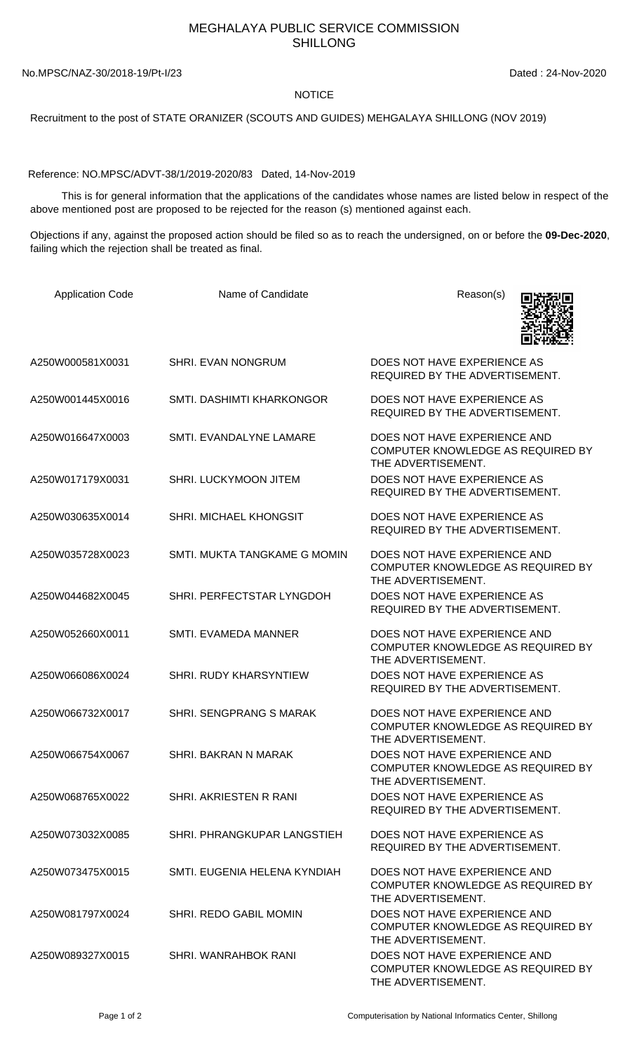## MEGHALAYA PUBLIC SERVICE COMMISSION SHILLONG

No.MPSC/NAZ-30/2018-19/Pt-I/23 Dated : 24-Nov-2020

## NOTICE

Recruitment to the post of STATE ORANIZER (SCOUTS AND GUIDES) MEHGALAYA SHILLONG (NOV 2019)

Reference: NO.MPSC/ADVT-38/1/2019-2020/83 Dated, 14-Nov-2019

 This is for general information that the applications of the candidates whose names are listed below in respect of the above mentioned post are proposed to be rejected for the reason (s) mentioned against each.

Objections if any, against the proposed action should be filed so as to reach the undersigned, on or before the **09-Dec-2020**, failing which the rejection shall be treated as final.

| <b>Application Code</b> | Name of Candidate              | Reason(s)                                                                               |
|-------------------------|--------------------------------|-----------------------------------------------------------------------------------------|
| A250W000581X0031        | <b>SHRI. EVAN NONGRUM</b>      | DOES NOT HAVE EXPERIENCE AS<br>REQUIRED BY THE ADVERTISEMENT.                           |
| A250W001445X0016        | SMTI. DASHIMTI KHARKONGOR      | DOES NOT HAVE EXPERIENCE AS<br>REQUIRED BY THE ADVERTISEMENT.                           |
| A250W016647X0003        | SMTI. EVANDALYNE LAMARE        | DOES NOT HAVE EXPERIENCE AND<br>COMPUTER KNOWLEDGE AS REQUIRED BY<br>THE ADVERTISEMENT. |
| A250W017179X0031        | SHRI. LUCKYMOON JITEM          | DOES NOT HAVE EXPERIENCE AS<br>REQUIRED BY THE ADVERTISEMENT.                           |
| A250W030635X0014        | SHRI. MICHAEL KHONGSIT         | DOES NOT HAVE EXPERIENCE AS<br>REQUIRED BY THE ADVERTISEMENT.                           |
| A250W035728X0023        | SMTI. MUKTA TANGKAME G MOMIN   | DOES NOT HAVE EXPERIENCE AND<br>COMPUTER KNOWLEDGE AS REQUIRED BY<br>THE ADVERTISEMENT. |
| A250W044682X0045        | SHRI. PERFECTSTAR LYNGDOH      | DOES NOT HAVE EXPERIENCE AS<br>REQUIRED BY THE ADVERTISEMENT.                           |
| A250W052660X0011        | SMTI. EVAMEDA MANNER           | DOES NOT HAVE EXPERIENCE AND<br>COMPUTER KNOWLEDGE AS REQUIRED BY<br>THE ADVERTISEMENT. |
| A250W066086X0024        | SHRI. RUDY KHARSYNTIEW         | DOES NOT HAVE EXPERIENCE AS<br>REQUIRED BY THE ADVERTISEMENT.                           |
| A250W066732X0017        | <b>SHRI. SENGPRANG S MARAK</b> | DOES NOT HAVE EXPERIENCE AND<br>COMPUTER KNOWLEDGE AS REQUIRED BY<br>THE ADVERTISEMENT. |
| A250W066754X0067        | SHRI. BAKRAN N MARAK           | DOES NOT HAVE EXPERIENCE AND<br>COMPUTER KNOWLEDGE AS REQUIRED BY<br>THE ADVERTISEMENT. |
| A250W068765X0022        | SHRI. AKRIESTEN R RANI         | DOES NOT HAVE EXPERIENCE AS<br>REQUIRED BY THE ADVERTISEMENT.                           |
| A250W073032X0085        | SHRI. PHRANGKUPAR LANGSTIEH    | DOES NOT HAVE EXPERIENCE AS<br>REQUIRED BY THE ADVERTISEMENT.                           |
| A250W073475X0015        | SMTI. EUGENIA HELENA KYNDIAH   | DOES NOT HAVE EXPERIENCE AND<br>COMPUTER KNOWLEDGE AS REQUIRED BY<br>THE ADVERTISEMENT. |
| A250W081797X0024        | SHRI. REDO GABIL MOMIN         | DOES NOT HAVE EXPERIENCE AND<br>COMPUTER KNOWLEDGE AS REQUIRED BY<br>THE ADVERTISEMENT. |
| A250W089327X0015        | SHRI. WANRAHBOK RANI           | DOES NOT HAVE EXPERIENCE AND<br>COMPUTER KNOWLEDGE AS REQUIRED BY<br>THE ADVERTISEMENT. |